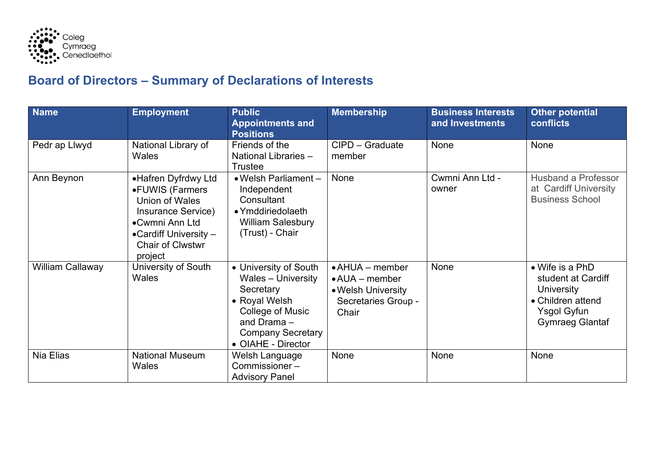

## **Board of Directors – Summary of Declarations of Interests**

| <b>Name</b>             | <b>Employment</b>                                                                                                                                                         | <b>Public</b><br><b>Appointments and</b><br><b>Positions</b>                                                                                                            | <b>Membership</b>                                                                                           | <b>Business Interests</b><br>and Investments | <b>Other potential</b><br><b>conflicts</b>                                                                                      |
|-------------------------|---------------------------------------------------------------------------------------------------------------------------------------------------------------------------|-------------------------------------------------------------------------------------------------------------------------------------------------------------------------|-------------------------------------------------------------------------------------------------------------|----------------------------------------------|---------------------------------------------------------------------------------------------------------------------------------|
| Pedr ap Llwyd           | National Library of<br>Wales                                                                                                                                              | Friends of the<br>National Libraries -<br><b>Trustee</b>                                                                                                                | CIPD - Graduate<br>member                                                                                   | None                                         | None                                                                                                                            |
| Ann Beynon              | •Hafren Dyfrdwy Ltd<br>•FUWIS (Farmers<br><b>Union of Wales</b><br>Insurance Service)<br>•Cwmni Ann Ltd<br>• Cardiff University $-$<br><b>Chair of Clwstwr</b><br>project | • Welsh Parliament -<br>Independent<br>Consultant<br>• Ymddiriedolaeth<br><b>William Salesbury</b><br>(Trust) - Chair                                                   | <b>None</b>                                                                                                 | Cwmni Ann Ltd -<br>owner                     | <b>Husband a Professor</b><br>at Cardiff University<br><b>Business School</b>                                                   |
| <b>William Callaway</b> | University of South<br>Wales                                                                                                                                              | • University of South<br><b>Wales - University</b><br>Secretary<br>• Royal Welsh<br>College of Music<br>and Drama $-$<br><b>Company Secretary</b><br>• OIAHE - Director | $\bullet$ AHUA $-$ member<br>$\bullet$ AUA $-$ member<br>• Welsh University<br>Secretaries Group -<br>Chair | None                                         | • Wife is a PhD<br>student at Cardiff<br><b>University</b><br>• Children attend<br><b>Ysgol Gyfun</b><br><b>Gymraeg Glantaf</b> |
| Nia Elias               | <b>National Museum</b><br><b>Wales</b>                                                                                                                                    | Welsh Language<br>Commissioner-<br><b>Advisory Panel</b>                                                                                                                | None                                                                                                        | None                                         | None                                                                                                                            |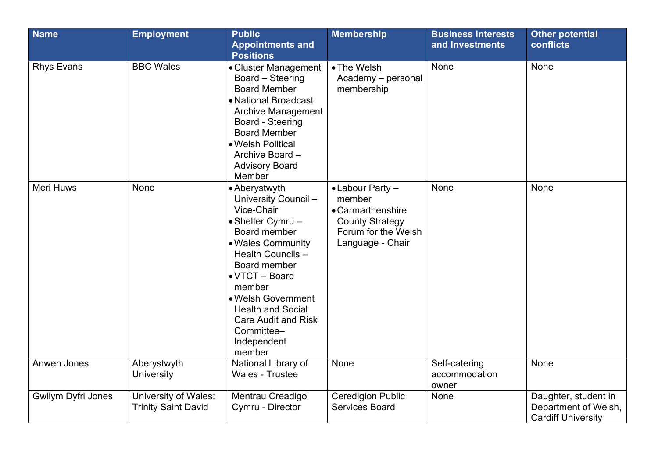| <b>Name</b>        | <b>Employment</b>                                  | <b>Public</b><br><b>Appointments and</b><br><b>Positions</b>                                                                                                                                                                                                                                                           | <b>Membership</b>                                                                                                              | <b>Business Interests</b><br>and Investments | <b>Other potential</b><br><b>conflicts</b>                                |
|--------------------|----------------------------------------------------|------------------------------------------------------------------------------------------------------------------------------------------------------------------------------------------------------------------------------------------------------------------------------------------------------------------------|--------------------------------------------------------------------------------------------------------------------------------|----------------------------------------------|---------------------------------------------------------------------------|
| <b>Rhys Evans</b>  | <b>BBC Wales</b>                                   | • Cluster Management<br>Board - Steering<br><b>Board Member</b><br>• National Broadcast<br><b>Archive Management</b><br>Board - Steering<br><b>Board Member</b><br>· Welsh Political<br>Archive Board -<br><b>Advisory Board</b><br>Member                                                                             | • The Welsh<br>Academy - personal<br>membership                                                                                | None                                         | None                                                                      |
| <b>Meri Huws</b>   | None                                               | • Aberystwyth<br>University Council -<br>Vice-Chair<br>• Shelter Cymru -<br>Board member<br><b>.</b> Wales Community<br>Health Councils -<br>Board member<br>$\bullet$ VTCT $-$ Board<br>member<br>• Welsh Government<br><b>Health and Social</b><br><b>Care Audit and Risk</b><br>Committee-<br>Independent<br>member | $\bullet$ Labour Party $-$<br>member<br>• Carmarthenshire<br><b>County Strategy</b><br>Forum for the Welsh<br>Language - Chair | None                                         | None                                                                      |
| Anwen Jones        | Aberystwyth<br>University                          | National Library of<br><b>Wales - Trustee</b>                                                                                                                                                                                                                                                                          | None                                                                                                                           | Self-catering<br>accommodation<br>owner      | None                                                                      |
| Gwilym Dyfri Jones | University of Wales:<br><b>Trinity Saint David</b> | Mentrau Creadigol<br>Cymru - Director                                                                                                                                                                                                                                                                                  | <b>Ceredigion Public</b><br><b>Services Board</b>                                                                              | None                                         | Daughter, student in<br>Department of Welsh,<br><b>Cardiff University</b> |